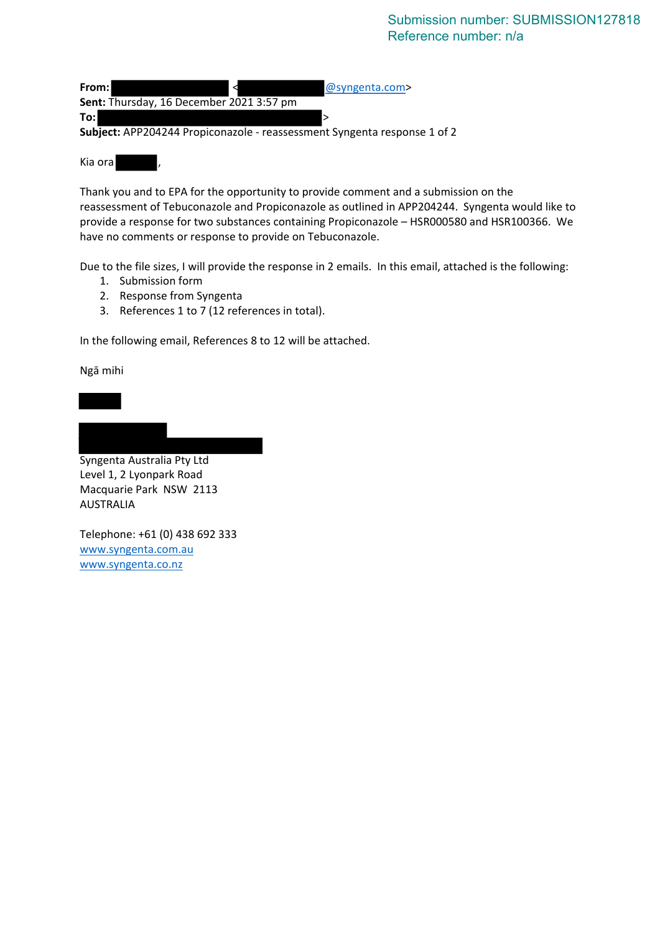#### Submission number: SUBMISSION127818 Reference number: n/a

| From: I                                                                  | @syngenta.com> |
|--------------------------------------------------------------------------|----------------|
| Sent: Thursday, 16 December 2021 3:57 pm                                 |                |
| To:                                                                      |                |
| Subject: APP204244 Propiconazole - reassessment Syngenta response 1 of 2 |                |
|                                                                          |                |

Kia ora

Thank you and to EPA for the opportunity to provide comment and a submission on the reassessment of Tebuconazole and Propiconazole as outlined in APP204244. Syngenta would like to provide a response for two substances containing Propiconazole – HSR000580 and HSR100366. We have no comments or response to provide on Tebuconazole.

Due to the file sizes, I will provide the response in 2 emails. In this email, attached is the following:

- 1. Submission form
- 2. Response from Syngenta
- 3. References 1 to 7 (12 references in total).

In the following email, References 8 to 12 will be attached.

Ngā mihi

Syngenta Australia Pty Ltd Level 1, 2 Lyonpark Road Macquarie Park NSW 2113 AUSTRALIA

Telephone: +61 (0) 438 692 333 [www.syngenta.com.au](http://www.syngenta.com.au/) [www.syngenta.co.nz](http://www.syngenta.co.nz/)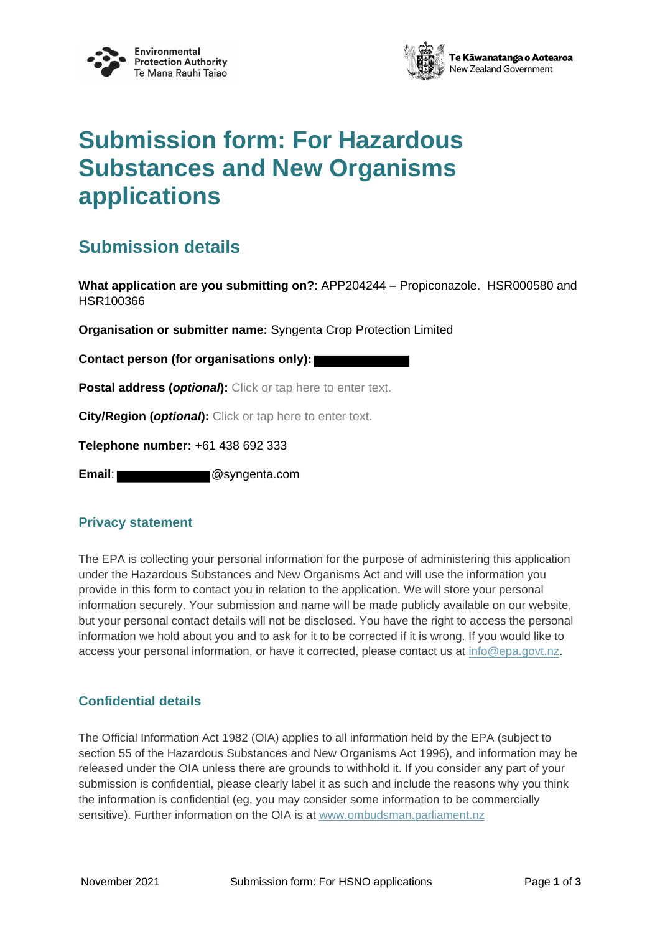



# **Submission form: For Hazardous Substances and New Organisms applications**

### **Submission details**

**What application are you submitting on?**: APP204244 – Propiconazole. HSR000580 and HSR100366

**Organisation or submitter name:** Syngenta Crop Protection Limited

**Contact person (for organisations only):**

**Postal address (***optional***):** Click or tap here to enter text.

**City/Region (***optional***):** Click or tap here to enter text.

**Telephone number:** +61 438 692 333

**Email**: @syngenta.com

#### **Privacy statement**

The EPA is collecting your personal information for the purpose of administering this application under the Hazardous Substances and New Organisms Act and will use the information you provide in this form to contact you in relation to the application. We will store your personal information securely. Your submission and name will be made publicly available on our website, but your personal contact details will not be disclosed. You have the right to access the personal information we hold about you and to ask for it to be corrected if it is wrong. If you would like to access your personal information, or have it corrected, please contact us at [info@epa.govt.nz.](mailto:info@epa.govt.nz)

#### **Confidential details**

The Official Information Act 1982 (OIA) applies to all information held by the EPA (subject to section 55 of the Hazardous Substances and New Organisms Act 1996), and information may be released under the OIA unless there are grounds to withhold it. If you consider any part of your submission is confidential, please clearly label it as such and include the reasons why you think the information is confidential (eg, you may consider some information to be commercially sensitive). Further information on the OIA is at [www.ombudsman.parliament.nz](http://www.ombudsman.parliament.nz/)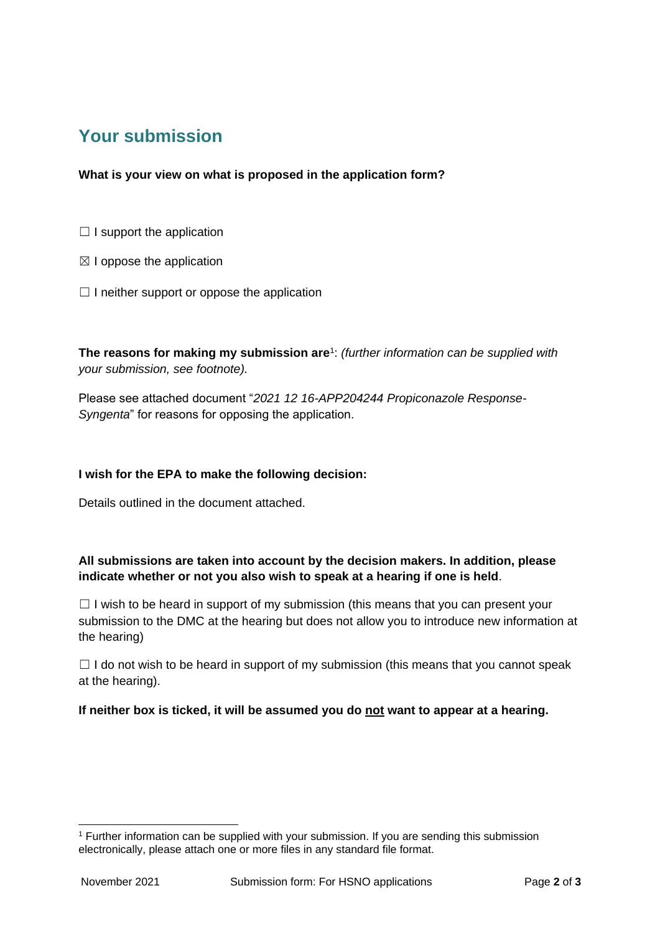## **Your submission**

**What is your view on what is proposed in the application form?**

- $\Box$  I support the application
- $\boxtimes$  I oppose the application
- $\Box$  I neither support or oppose the application

**The reasons for making my submission are**<sup>1</sup> : *(further information can be supplied with your submission, see footnote).*

Please see attached document "*2021 12 16-APP204244 Propiconazole Response-Syngenta*" for reasons for opposing the application.

#### **I wish for the EPA to make the following decision:**

Details outlined in the document attached.

#### **All submissions are taken into account by the decision makers. In addition, please indicate whether or not you also wish to speak at a hearing if one is held**.

 $\Box$  I wish to be heard in support of my submission (this means that you can present your submission to the DMC at the hearing but does not allow you to introduce new information at the hearing)

 $\Box$  I do not wish to be heard in support of my submission (this means that you cannot speak at the hearing).

**If neither box is ticked, it will be assumed you do not want to appear at a hearing.**

 $1$  Further information can be supplied with your submission. If you are sending this submission electronically, please attach one or more files in any standard file format.